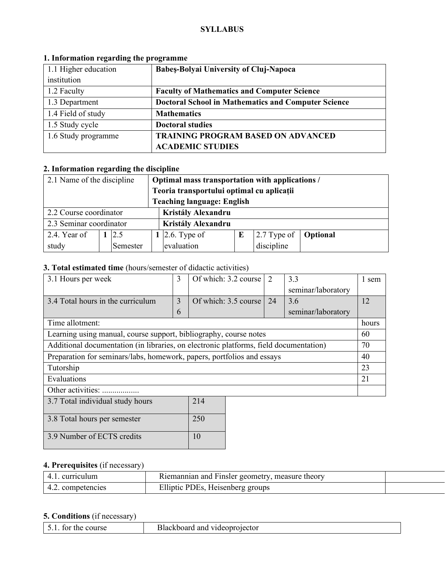#### **SYLLABUS**

| 1.1 Higher education | <b>Babes-Bolyai University of Cluj-Napoca</b>              |  |  |
|----------------------|------------------------------------------------------------|--|--|
| institution          |                                                            |  |  |
| 1.2 Faculty          | <b>Faculty of Mathematics and Computer Science</b>         |  |  |
| 1.3 Department       | <b>Doctoral School in Mathematics and Computer Science</b> |  |  |
| 1.4 Field of study   | <b>Mathematics</b>                                         |  |  |
| 1.5 Study cycle      | <b>Doctoral studies</b>                                    |  |  |
| 1.6 Study programme  | <b>TRAINING PROGRAM BASED ON ADVANCED</b>                  |  |  |
|                      | <b>ACADEMIC STUDIES</b>                                    |  |  |

# **1. Information regarding the programme**

# **2. Information regarding the discipline**

| 2.1 Name of the discipline |                                              |          | Optimal mass transportation with applications / |                    |  |                        |  |  |
|----------------------------|----------------------------------------------|----------|-------------------------------------------------|--------------------|--|------------------------|--|--|
|                            |                                              |          | Teoria transportului optimal cu aplicații       |                    |  |                        |  |  |
|                            | <b>Teaching language: English</b>            |          |                                                 |                    |  |                        |  |  |
|                            | Kristály Alexandru<br>2.2 Course coordinator |          |                                                 |                    |  |                        |  |  |
| 2.3 Seminar coordinator    |                                              |          |                                                 | Kristály Alexandru |  |                        |  |  |
| 2.4. Year of               |                                              | 12.5     |                                                 | 1 2.6. Type of     |  | 2.7 Type of   Optional |  |  |
| study                      |                                              | Semester |                                                 | evaluation         |  | discipline             |  |  |

## **3. Total estimated time** (hours/semester of didactic activities)

| 3.1 Hours per week                                                                    | 3 | Of which: 3.2 course | 2  | 3.3                | 1 sem |
|---------------------------------------------------------------------------------------|---|----------------------|----|--------------------|-------|
|                                                                                       |   |                      |    | seminar/laboratory |       |
| 3.4 Total hours in the curriculum                                                     | 3 | Of which: 3.5 course | 24 | 3.6                | 12    |
|                                                                                       | 6 |                      |    | seminar/laboratory |       |
| Time allotment:                                                                       |   |                      |    |                    | hours |
| Learning using manual, course support, bibliography, course notes                     |   |                      |    |                    | 60    |
| Additional documentation (in libraries, on electronic platforms, field documentation) |   |                      |    |                    | 70    |
| Preparation for seminars/labs, homework, papers, portfolios and essays                |   |                      |    |                    | 40    |
| Tutorship                                                                             |   |                      |    |                    | 23    |
| Evaluations                                                                           |   |                      |    |                    |       |
| Other activities:                                                                     |   |                      |    |                    |       |
| 214<br>3.7 Total individual study hours                                               |   |                      |    |                    |       |
| 250<br>3.8 Total hours per semester                                                   |   |                      |    |                    |       |

# **4. Prerequisites** (if necessary)

3.9 Number of ECTS credits 10

|                      | Riemannian and Finsler geometry, measure theory |  |
|----------------------|-------------------------------------------------|--|
| competencies<br>т.∠. | Elliptic PDEs, Heisenberg groups                |  |

## **5. Conditions** (if necessary)

| course<br>. ne | ectoi<br>vide.<br>янс<br>ж<br>$\cdot$ . |
|----------------|-----------------------------------------|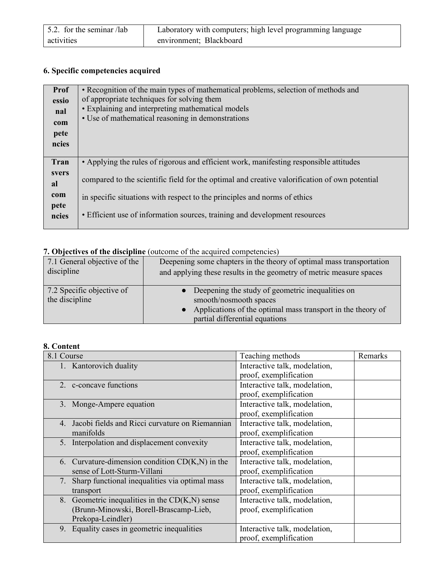| 5.2. for the seminar /lab | Laboratory with computers; high level programming language |
|---------------------------|------------------------------------------------------------|
| activities                | environment; Blackboard                                    |

# **6. Specific competencies acquired**

| <b>Prof</b>  | • Recognition of the main types of mathematical problems, selection of methods and            |
|--------------|-----------------------------------------------------------------------------------------------|
| essio        | of appropriate techniques for solving them                                                    |
| nal          | • Explaining and interpreting mathematical models                                             |
| com          | • Use of mathematical reasoning in demonstrations                                             |
|              |                                                                                               |
| pete         |                                                                                               |
| ncies        |                                                                                               |
|              |                                                                                               |
| Tran         | • Applying the rules of rigorous and efficient work, manifesting responsible attitudes        |
| <i>svers</i> |                                                                                               |
| al           | compared to the scientific field for the optimal and creative valorification of own potential |
| com          |                                                                                               |
|              | in specific situations with respect to the principles and norms of ethics                     |
| pete         |                                                                                               |
| ncies        | • Efficient use of information sources, training and development resources                    |
|              |                                                                                               |

# **7. Objectives of the discipline** (outcome of the acquired competencies)

| 7.1 General objective of the                | Deepening some chapters in the theory of optimal mass transportation                                                                                                            |
|---------------------------------------------|---------------------------------------------------------------------------------------------------------------------------------------------------------------------------------|
| discipline                                  | and applying these results in the geometry of metric measure spaces                                                                                                             |
| 7.2 Specific objective of<br>the discipline | • Deepening the study of geometric inequalities on<br>smooth/nosmooth spaces<br>• Applications of the optimal mass transport in the theory of<br>partial differential equations |

# **8. Content**

| 8.1 Course                                           | Teaching methods              | Remarks |
|------------------------------------------------------|-------------------------------|---------|
| 1. Kantorovich duality                               | Interactive talk, modelation, |         |
|                                                      | proof, exemplification        |         |
| 2. c-concave functions                               | Interactive talk, modelation, |         |
|                                                      | proof, exemplification        |         |
| 3. Monge-Ampere equation                             | Interactive talk, modelation, |         |
|                                                      | proof, exemplification        |         |
| 4. Jacobi fields and Ricci curvature on Riemannian   | Interactive talk, modelation, |         |
| manifolds                                            | proof, exemplification        |         |
| 5. Interpolation and displacement convexity          | Interactive talk, modelation, |         |
|                                                      | proof, exemplification        |         |
| 6. Curvature-dimension condition $CD(K,N)$ in the    | Interactive talk, modelation, |         |
| sense of Lott-Sturm-Villani                          | proof, exemplification        |         |
| Sharp functional inequalities via optimal mass<br>7. | Interactive talk, modelation, |         |
| transport                                            | proof, exemplification        |         |
| 8. Geometric inequalities in the $CD(K,N)$ sense     | Interactive talk, modelation, |         |
| (Brunn-Minowski, Borell-Brascamp-Lieb,               | proof, exemplification        |         |
| Prekopa-Leindler)                                    |                               |         |
| Equality cases in geometric inequalities<br>9.       | Interactive talk, modelation, |         |
|                                                      | proof, exemplification        |         |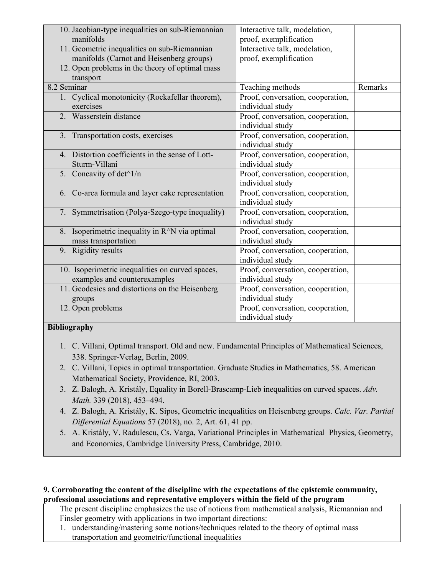| 10. Jacobian-type inequalities on sub-Riemannian<br>manifolds                            | Interactive talk, modelation,<br>proof, exemplification |         |
|------------------------------------------------------------------------------------------|---------------------------------------------------------|---------|
| 11. Geometric inequalities on sub-Riemannian<br>manifolds (Carnot and Heisenberg groups) | Interactive talk, modelation,<br>proof, exemplification |         |
| 12. Open problems in the theory of optimal mass<br>transport                             |                                                         |         |
| 8.2 Seminar                                                                              | Teaching methods                                        | Remarks |
| 1. Cyclical monotonicity (Rockafellar theorem),<br>exercises                             | Proof, conversation, cooperation,<br>individual study   |         |
| 2. Wasserstein distance                                                                  | Proof, conversation, cooperation,<br>individual study   |         |
| 3. Transportation costs, exercises                                                       | Proof, conversation, cooperation,<br>individual study   |         |
| 4. Distortion coefficients in the sense of Lott-<br>Sturm-Villani                        | Proof, conversation, cooperation,<br>individual study   |         |
| 5. Concavity of det <sup>^1/n</sup>                                                      | Proof, conversation, cooperation,<br>individual study   |         |
| 6. Co-area formula and layer cake representation                                         | Proof, conversation, cooperation,<br>individual study   |         |
| 7. Symmetrisation (Polya-Szego-type inequality)                                          | Proof, conversation, cooperation,<br>individual study   |         |
| 8. Isoperimetric inequality in R <sup>^</sup> N via optimal<br>mass transportation       | Proof, conversation, cooperation,<br>individual study   |         |
| 9. Rigidity results                                                                      | Proof, conversation, cooperation,<br>individual study   |         |
| 10. Isoperimetric inequalities on curved spaces,<br>examples and counterexamples         | Proof, conversation, cooperation,<br>individual study   |         |
| 11. Geodesics and distortions on the Heisenberg<br>groups                                | Proof, conversation, cooperation,<br>individual study   |         |
| 12. Open problems                                                                        | Proof, conversation, cooperation,<br>individual study   |         |

### **Bibliography**

- 1. C. Villani, Optimal transport. Old and new. Fundamental Principles of Mathematical Sciences, 338. Springer-Verlag, Berlin, 2009.
- 2. C. Villani, Topics in optimal transportation. Graduate Studies in Mathematics, 58. American Mathematical Society, Providence, RI, 2003.
- 3. Z. Balogh, A. Kristály, Equality in Borell-Brascamp-Lieb inequalities on curved spaces. *Adv. Math.* 339 (2018), 453–494.
- 4. Z. Balogh, A. Kristály, K. Sipos, Geometric inequalities on Heisenberg groups. *Calc. Var. Partial Differential Equations* 57 (2018), no. 2, Art. 61, 41 pp.
- 5. A. Kristály, V. Radulescu, Cs. Varga, Variational Principles in Mathematical Physics, Geometry, and Economics, Cambridge University Press, Cambridge, 2010.

## **9. Corroborating the content of the discipline with the expectations of the epistemic community, professional associations and representative employers within the field of the program**

The present discipline emphasizes the use of notions from mathematical analysis, Riemannian and Finsler geometry with applications in two important directions:

1. understanding/mastering some notions/techniques related to the theory of optimal mass transportation and geometric/functional inequalities